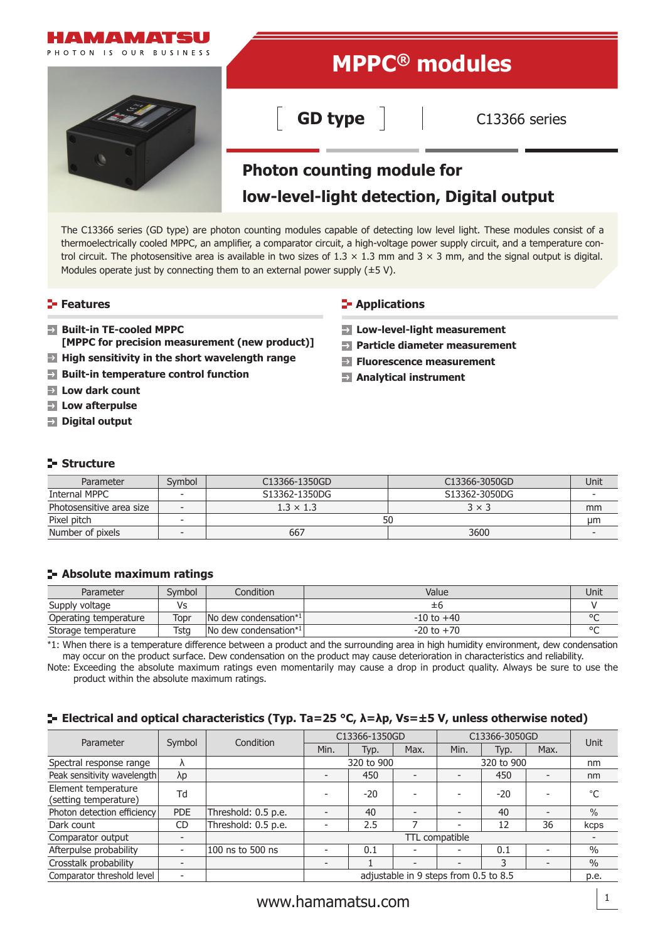

The C13366 series (GD type) are photon counting modules capable of detecting low level light. These modules consist of a thermoelectrically cooled MPPC, an amplifier, a comparator circuit, a high-voltage power supply circuit, and a temperature control circuit. The photosensitive area is available in two sizes of  $1.3 \times 1.3$  mm and  $3 \times 3$  mm, and the signal output is digital. Modules operate just by connecting them to an external power supply  $(\pm 5 \text{ V})$ .

## **Features**

- **Built-in TE-cooled MPPC [MPPC for precision measurement (new product)]**
- **High sensitivity in the short wavelength range**
- **Built-in temperature control function**
- **Low dark count**
- **Low afterpulse**
- **Digital output**

### **E-** Applications

- **Low-level-light measurement**
- **Particle diameter measurement**
- **Fluorescence measurement**
- **Analytical instrument**

### **Structure**

| Parameter                | Svmbol                   | C13366-1350GD | C13366-3050GD | Unit |
|--------------------------|--------------------------|---------------|---------------|------|
| Internal MPPC            | $\overline{\phantom{a}}$ | S13362-1350DG | S13362-3050DG |      |
| Photosensitive area size | $1.3 \times 1.3$<br>-    |               | $3 \times 3$  | mm   |
| Pixel pitch              | <b>-</b>                 | 50            |               | µm   |
| Number of pixels         |                          | 667           | 3600          |      |

### **Absolute maximum ratings**

| Parameter             | Svmbol | Condition                                 | Value          | Unit    |
|-----------------------|--------|-------------------------------------------|----------------|---------|
| Supply voltage        | Vs     |                                           | ±h.            |         |
| Operating temperature | Topr   | No dew condensation*1                     | $-10$ to $+40$ | $\circ$ |
| Storage temperature   | Tsta   | $\sqrt{N}$ dew condensation <sup>*1</sup> | $-20$ to $+70$ | $\circ$ |

\*1: When there is a temperature difference between a product and the surrounding area in high humidity environment, dew condensation may occur on the product surface. Dew condensation on the product may cause deterioration in characteristics and reliability.

Note: Exceeding the absolute maximum ratings even momentarily may cause a drop in product quality. Always be sure to use the product within the absolute maximum ratings.

## **Electrical and optical characteristics (Typ. Ta=25 °C, λ=λp, Vs=±5 V, unless otherwise noted)**

| Parameter                                    |                          | Condition           | C13366-1350GD                         |       |                          | C13366-3050GD            |       |                          | Unit          |
|----------------------------------------------|--------------------------|---------------------|---------------------------------------|-------|--------------------------|--------------------------|-------|--------------------------|---------------|
|                                              | Symbol                   |                     | Min.                                  | Typ.  | Max.                     | Min.                     | Typ.  | Max.                     |               |
| Spectral response range                      | $\Lambda$                |                     | 320 to 900                            |       | 320 to 900               |                          |       | nm                       |               |
| Peak sensitivity wavelength                  | $\lambda p$              |                     | -                                     | 450   | $\overline{\phantom{a}}$ | $\overline{\phantom{0}}$ | 450   |                          | nm            |
| Element temperature<br>(setting temperature) | Td                       |                     |                                       | $-20$ |                          |                          | $-20$ |                          | °C            |
| Photon detection efficiency                  | <b>PDE</b>               | Threshold: 0.5 p.e. | $\overline{\phantom{a}}$              | 40    | $\overline{\phantom{a}}$ |                          | 40    | $\overline{\phantom{0}}$ | $\%$          |
| Dark count                                   | CD                       | Threshold: 0.5 p.e. |                                       | 2.5   |                          |                          | 12    | 36                       | kcps          |
| Comparator output                            |                          |                     | TTL compatible                        |       |                          |                          |       |                          |               |
| Afterpulse probability                       |                          | 100 ns to 500 ns    |                                       | 0.1   |                          |                          | 0.1   |                          | $\frac{0}{0}$ |
| Crosstalk probability                        |                          |                     |                                       |       | $\overline{\phantom{0}}$ |                          | 3     |                          | $\frac{0}{0}$ |
| Comparator threshold level                   | $\overline{\phantom{a}}$ |                     | adjustable in 9 steps from 0.5 to 8.5 |       |                          | p.e.                     |       |                          |               |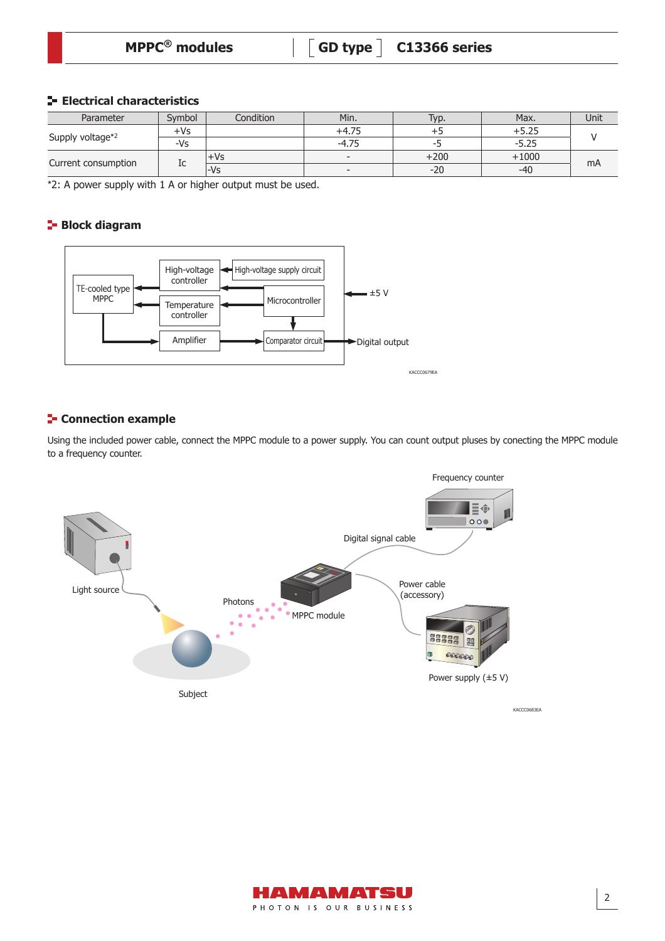| <b>MPPC<sup>®</sup></b> modules | $\begin{bmatrix} 6D \text{ type} \end{bmatrix}$ C13366 series |
|---------------------------------|---------------------------------------------------------------|
|                                 |                                                               |

### **Electrical characteristics**

| Parameter           | Svmbol    | Condition | Min.                     | Typ.   | Max.    | Unit |  |
|---------------------|-----------|-----------|--------------------------|--------|---------|------|--|
| Supply voltage*2    | +Vs       |           | $+4.75$                  |        | ⊦5.25   |      |  |
|                     | -Vs       |           | $-4.75$                  |        | $-5.25$ |      |  |
| Current consumption |           | +Vs       | $\overline{\phantom{a}}$ | $+200$ | $+1000$ |      |  |
|                     | 1c<br>-Vs |           | $\overline{\phantom{a}}$ | $-20$  | -40     | mA   |  |

\*2: A power supply with 1 A or higher output must be used.

## **Block diagram**



## **F** Connection example

Using the included power cable, connect the MPPC module to a power supply. You can count output pluses by conecting the MPPC module to a frequency counter.



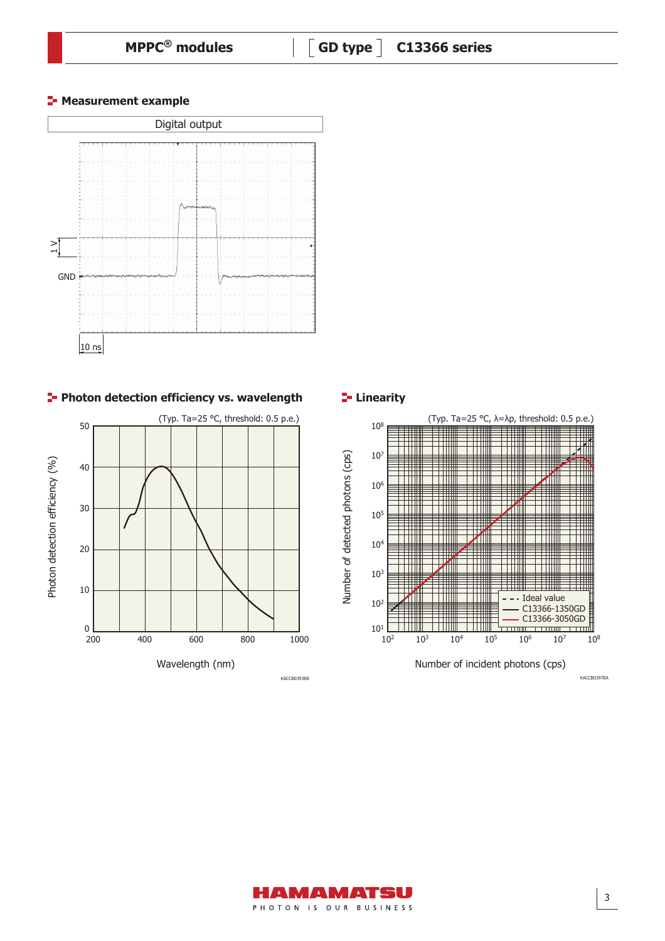



**Photon detection efficiency vs. wavelength <b>Proton Linearity** 





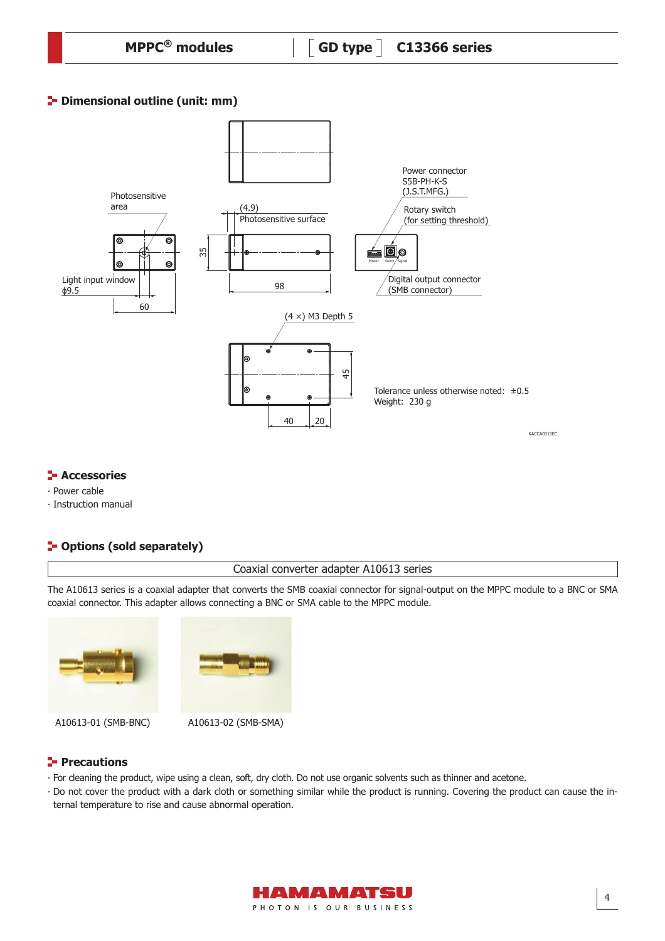| $MPPC®$ modules |  |
|-----------------|--|
|-----------------|--|

## **P**- Dimensional outline (unit: mm)



## **E-** Accessories

- ∙ Power cable
- ∙ Instruction manual

# **P** Options (sold separately)

Coaxial converter adapter A10613 series

The A10613 series is a coaxial adapter that converts the SMB coaxial connector for signal-output on the MPPC module to a BNC or SMA coaxial connector. This adapter allows connecting a BNC or SMA cable to the MPPC module.



## **Precautions**

- ∙ For cleaning the product, wipe using a clean, soft, dry cloth. Do not use organic solvents such as thinner and acetone.
- ∙ Do not cover the product with a dark cloth or something similar while the product is running. Covering the product can cause the internal temperature to rise and cause abnormal operation.